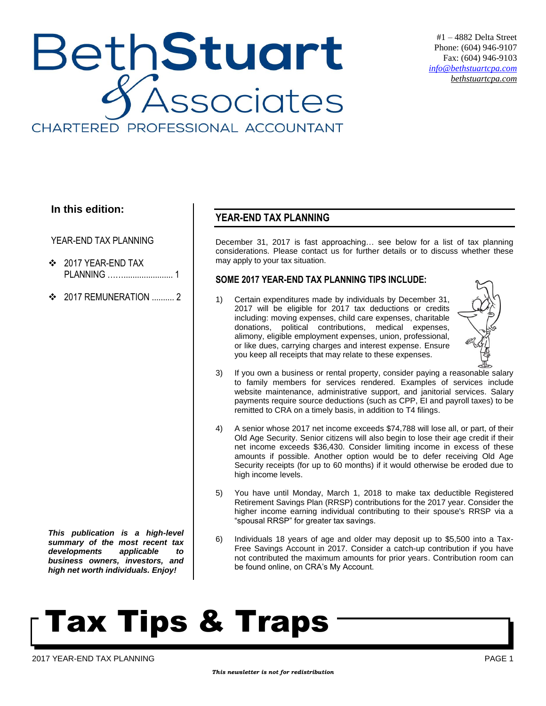## BethStuart Associates CHARTERED PROFESSIONAL ACCOUNTANT

#1 – 4882 Delta Street Phone: (604) 946-9107 Fax: (604) 946-9103 *[info@bethstuartcpa.com](mailto:info@bethstuartcpa.com) bethstuartcpa.com*

### **In this edition:**

YEAR-END TAX PLANNING

- 2017 YEAR-END TAX PLANNING ……...................... 1
- **❖** 2017 REMUNERATION ......... 2

*This publication is a high-level summary of the most recent tax developments applicable to business owners, investors, and high net worth individuals. Enjoy!*

### **YEAR-END TAX PLANNING**

December 31, 2017 is fast approaching… see below for a list of tax planning considerations. Please contact us for further details or to discuss whether these may apply to your tax situation.

#### **SOME 2017 YEAR-END TAX PLANNING TIPS INCLUDE:**

1) Certain expenditures made by individuals by December 31, 2017 will be eligible for 2017 tax deductions or credits including: moving expenses, child care expenses, charitable donations, political contributions, medical expenses, alimony, eligible employment expenses, union, professional, or like dues, carrying charges and interest expense. Ensure you keep all receipts that may relate to these expenses.



- 3) If you own a business or rental property, consider paying a reasonable salary to family members for services rendered. Examples of services include website maintenance, administrative support, and janitorial services. Salary payments require source deductions (such as CPP, EI and payroll taxes) to be remitted to CRA on a timely basis, in addition to T4 filings.
- 4) A senior whose 2017 net income exceeds \$74,788 will lose all, or part, of their Old Age Security. Senior citizens will also begin to lose their age credit if their net income exceeds \$36,430. Consider limiting income in excess of these amounts if possible. Another option would be to defer receiving Old Age Security receipts (for up to 60 months) if it would otherwise be eroded due to high income levels.
- 5) You have until Monday, March 1, 2018 to make tax deductible Registered Retirement Savings Plan (RRSP) contributions for the 2017 year. Consider the higher income earning individual contributing to their spouse's RRSP via a "spousal RRSP" for greater tax savings.
- 6) Individuals 18 years of age and older may deposit up to \$5,500 into a Tax-Free Savings Account in 2017. Consider a catch-up contribution if you have not contributed the maximum amounts for prior years. Contribution room can be found online, on CRA's My Account.

# Tax Tips & Traps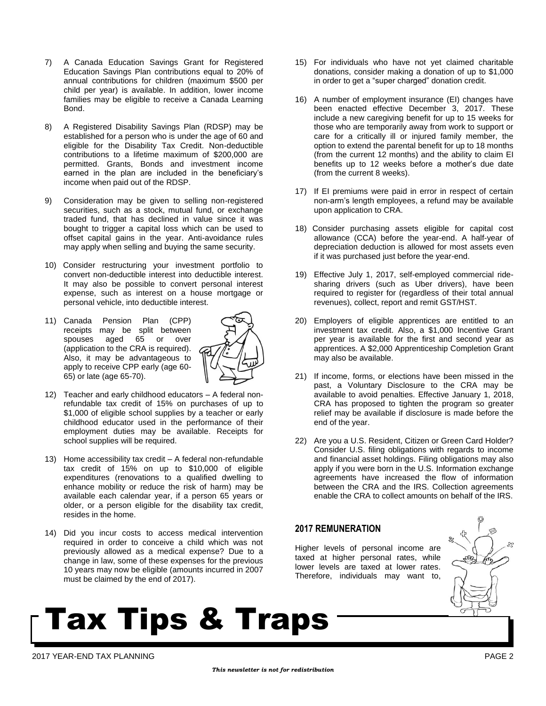- 7) A Canada Education Savings Grant for Registered Education Savings Plan contributions equal to 20% of annual contributions for children (maximum \$500 per child per year) is available. In addition, lower income families may be eligible to receive a Canada Learning Bond.
- 8) A Registered Disability Savings Plan (RDSP) may be established for a person who is under the age of 60 and eligible for the Disability Tax Credit. Non-deductible contributions to a lifetime maximum of \$200,000 are permitted. Grants, Bonds and investment income earned in the plan are included in the beneficiary's income when paid out of the RDSP.
- 9) Consideration may be given to selling non-registered securities, such as a stock, mutual fund, or exchange traded fund, that has declined in value since it was bought to trigger a capital loss which can be used to offset capital gains in the year. Anti-avoidance rules may apply when selling and buying the same security.
- 10) Consider restructuring your investment portfolio to convert non-deductible interest into deductible interest. It may also be possible to convert personal interest expense, such as interest on a house mortgage or personal vehicle, into deductible interest.
- 11) Canada Pension Plan (CPP) receipts may be split between spouses aged 65 or over (application to the CRA is required). Also, it may be advantageous to apply to receive CPP early (age 60- 65) or late (age 65-70).



- 12) Teacher and early childhood educators A federal nonrefundable tax credit of 15% on purchases of up to \$1,000 of eligible school supplies by a teacher or early childhood educator used in the performance of their employment duties may be available. Receipts for school supplies will be required.
- 13) Home accessibility tax credit A federal non-refundable tax credit of 15% on up to \$10,000 of eligible expenditures (renovations to a qualified dwelling to enhance mobility or reduce the risk of harm) may be available each calendar year, if a person 65 years or older, or a person eligible for the disability tax credit, resides in the home.
- 14) Did you incur costs to access medical intervention required in order to conceive a child which was not previously allowed as a medical expense? Due to a change in law, some of these expenses for the previous 10 years may now be eligible (amounts incurred in 2007 must be claimed by the end of 2017).
- 15) For individuals who have not yet claimed charitable donations, consider making a donation of up to \$1,000 in order to get a "super charged" donation credit.
- 16) A number of employment insurance (EI) changes have been enacted effective December 3, 2017. These include a new caregiving benefit for up to 15 weeks for those who are temporarily away from work to support or care for a critically ill or injured family member, the option to extend the parental benefit for up to 18 months (from the current 12 months) and the ability to claim EI benefits up to 12 weeks before a mother's due date (from the current 8 weeks).
- 17) If EI premiums were paid in error in respect of certain non-arm's length employees, a refund may be available upon application to CRA.
- 18) Consider purchasing assets eligible for capital cost allowance (CCA) before the year-end. A half-year of depreciation deduction is allowed for most assets even if it was purchased just before the year-end.
- 19) Effective July 1, 2017, self-employed commercial ridesharing drivers (such as Uber drivers), have been required to register for (regardless of their total annual revenues), collect, report and remit GST/HST.
- 20) Employers of eligible apprentices are entitled to an investment tax credit. Also, a \$1,000 Incentive Grant per year is available for the first and second year as apprentices. A \$2,000 Apprenticeship Completion Grant may also be available.
- 21) If income, forms, or elections have been missed in the past, a Voluntary Disclosure to the CRA may be available to avoid penalties. Effective January 1, 2018, CRA has proposed to tighten the program so greater relief may be available if disclosure is made before the end of the year.
- 22) Are you a U.S. Resident, Citizen or Green Card Holder? Consider U.S. filing obligations with regards to income and financial asset holdings. Filing obligations may also apply if you were born in the U.S. Information exchange agreements have increased the flow of information between the CRA and the IRS. Collection agreements enable the CRA to collect amounts on behalf of the IRS.

#### **2017 REMUNERATION**

Higher levels of personal income are taxed at higher personal rates, while lower levels are taxed at lower rates. Therefore, individuals may want to,



## Tax Tips & Traps

2017 YEAR-END TAX PLANNING PAGE 2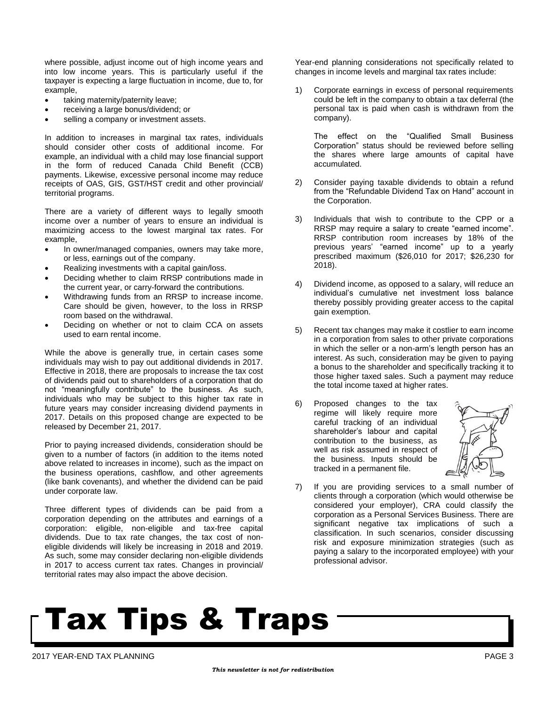where possible, adjust income out of high income years and into low income years. This is particularly useful if the taxpayer is expecting a large fluctuation in income, due to, for example,

- taking maternity/paternity leave;
- receiving a large bonus/dividend; or
- selling a company or investment assets.

In addition to increases in marginal tax rates, individuals should consider other costs of additional income. For example, an individual with a child may lose financial support in the form of reduced Canada Child Benefit (CCB) payments. Likewise, excessive personal income may reduce receipts of OAS, GIS, GST/HST credit and other provincial/ territorial programs.

There are a variety of different ways to legally smooth income over a number of years to ensure an individual is maximizing access to the lowest marginal tax rates. For example,

- In owner/managed companies, owners may take more, or less, earnings out of the company.
- Realizing investments with a capital gain/loss.
- Deciding whether to claim RRSP contributions made in the current year, or carry-forward the contributions.
- Withdrawing funds from an RRSP to increase income. Care should be given, however, to the loss in RRSP room based on the withdrawal.
- Deciding on whether or not to claim CCA on assets used to earn rental income.

While the above is generally true, in certain cases some individuals may wish to pay out additional dividends in 2017. Effective in 2018, there are proposals to increase the tax cost of dividends paid out to shareholders of a corporation that do not "meaningfully contribute" to the business. As such, individuals who may be subject to this higher tax rate in future years may consider increasing dividend payments in 2017. Details on this proposed change are expected to be released by December 21, 2017.

Prior to paying increased dividends, consideration should be given to a number of factors (in addition to the items noted above related to increases in income), such as the impact on the business operations, cashflow, and other agreements (like bank covenants), and whether the dividend can be paid under corporate law.

Three different types of dividends can be paid from a corporation depending on the attributes and earnings of a corporation: eligible, non-eligible and tax-free capital dividends. Due to tax rate changes, the tax cost of noneligible dividends will likely be increasing in 2018 and 2019. As such, some may consider declaring non-eligible dividends in 2017 to access current tax rates. Changes in provincial/ territorial rates may also impact the above decision.

Year-end planning considerations not specifically related to changes in income levels and marginal tax rates include:

1) Corporate earnings in excess of personal requirements could be left in the company to obtain a tax deferral (the personal tax is paid when cash is withdrawn from the company).

The effect on the "Qualified Small Business Corporation" status should be reviewed before selling the shares where large amounts of capital have accumulated.

- 2) Consider paying taxable dividends to obtain a refund from the "Refundable Dividend Tax on Hand" account in the Corporation.
- 3) Individuals that wish to contribute to the CPP or a RRSP may require a salary to create "earned income". RRSP contribution room increases by 18% of the previous years' "earned income" up to a yearly prescribed maximum (\$26,010 for 2017; \$26,230 for 2018).
- 4) Dividend income, as opposed to a salary, will reduce an individual's cumulative net investment loss balance thereby possibly providing greater access to the capital gain exemption.
- 5) Recent tax changes may make it costlier to earn income in a corporation from sales to other private corporations in which the seller or a non-arm's length person has an interest. As such, consideration may be given to paying a bonus to the shareholder and specifically tracking it to those higher taxed sales. Such a payment may reduce the total income taxed at higher rates.
- 6) Proposed changes to the tax regime will likely require more careful tracking of an individual shareholder's labour and capital contribution to the business, as well as risk assumed in respect of the business. Inputs should be tracked in a permanent file.



7) If you are providing services to a small number of clients through a corporation (which would otherwise be considered your employer), CRA could classify the corporation as a Personal Services Business. There are significant negative tax implications of such a classification. In such scenarios, consider discussing risk and exposure minimization strategies (such as paying a salary to the incorporated employee) with your professional advisor.

# Tax Tips & Traps